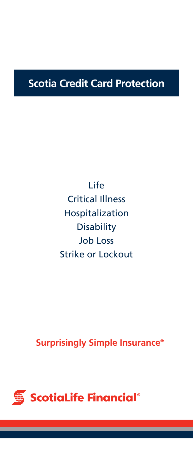## **Scotia Credit Card Protection**

Life Critical Illness Hospitalization **Disability** Job Loss Strike or Lockout

**Surprisingly Simple Insurance®**

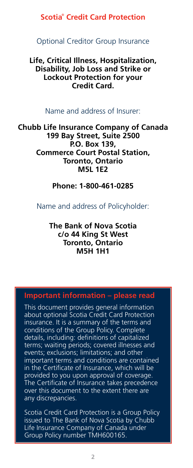#### **Scotia**®  **Credit Card Protection**

#### Optional Creditor Group Insurance

#### **Life, Critical Illness, Hospitalization, Disability, Job Loss and Strike or Lockout Protection for your Credit Card.**

#### Name and address of Insurer:

**Chubb Life Insurance Company of Canada 199 Bay Street, Suite 2500 P.O. Box 139, Commerce Court Postal Station, Toronto, Ontario M5L 1E2** 

#### **Phone: 1-800-461-0285**

Name and address of Policyholder:

#### **The Bank of Nova Scotia c/o 44 King St West Toronto, Ontario M5H 1H1**

#### **Important information – please read**

This document provides general information about optional Scotia Credit Card Protection insurance. It is a summary of the terms and conditions of the Group Policy. Complete details, including: definitions of capitalized terms; waiting periods; covered illnesses and events; exclusions; limitations; and other important terms and conditions are contained in the Certificate of Insurance, which will be provided to you upon approval of coverage. The Certificate of Insurance takes precedence over this document to the extent there are any discrepancies.

Scotia Credit Card Protection is a Group Policy issued to The Bank of Nova Scotia by Chubb Life Insurance Company of Canada under Group Policy number TMH600165.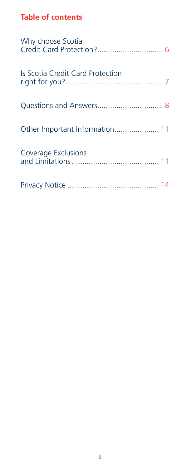## **Table of contents**

| Why choose Scotia                |
|----------------------------------|
| Is Scotia Credit Card Protection |
|                                  |
| Other Important Information 11   |
| Coverage Exclusions              |
|                                  |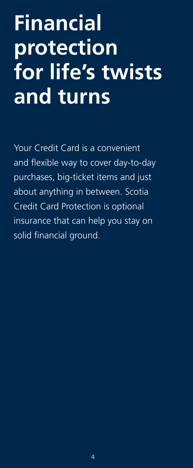# **Financial protection for life's twists and turns**

Your Credit Card is a convenient and flexible way to cover day-to-day purchases, big-ticket items and just about anything in between. Scotia Credit Card Protection is optional insurance that can help you stay on solid financial ground.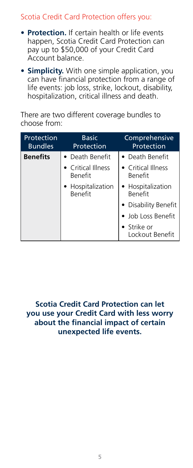## Scotia Credit Card Protection offers you:

- **• Protection.** If certain health or life events happen, Scotia Credit Card Protection can pay up to \$50,000 of your Credit Card Account balance.
- **• Simplicity.** With one simple application, you can have financial protection from a range of life events: job loss, strike, lockout, disability, hospitalization, critical illness and death.

There are two different coverage bundles to choose from:

| Protection<br><b>Bundles</b> | <b>Basic</b><br>Protection           | Comprehensive<br>Protection          |
|------------------------------|--------------------------------------|--------------------------------------|
| <b>Benefits</b>              | • Death Benefit                      | • Death Benefit                      |
|                              | • Critical Illness<br><b>Benefit</b> | • Critical Illness<br><b>Benefit</b> |
|                              | • Hospitalization<br><b>Benefit</b>  | • Hospitalization<br><b>Benefit</b>  |
|                              |                                      | • Disability Benefit                 |
|                              |                                      | • Job Loss Benefit                   |
|                              |                                      | • Strike or<br>Lockout Benefit       |

**Scotia Credit Card Protection can let you use your Credit Card with less worry about the financial impact of certain unexpected life events.**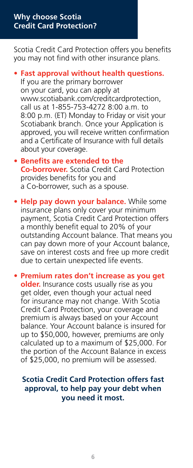#### **Why choose Scotia Credit Card Protection?**

Scotia Credit Card Protection offers you benefits you may not find with other insurance plans.

- **• Fast approval without health questions.** If you are the primary borrower on your card, you can apply at www.scotiabank.com/creditcardprotection, call us at 1-855-753-4272 8:00 a.m. to 8:00 p.m. (ET) Monday to Friday or visit your Scotiabank branch. Once your Application is approved, you will receive written confirmation and a Certificate of Insurance with full details about your coverage.
- **• Benefits are extended to the Co-borrower.** Scotia Credit Card Protection provides benefits for you and a Co-borrower, such as a spouse.
- **• Help pay down your balance.** While some insurance plans only cover your minimum payment, Scotia Credit Card Protection offers a monthly benefit equal to 20% of your outstanding Account balance. That means you can pay down more of your Account balance, save on interest costs and free up more credit due to certain unexpected life events.

**• Premium rates don't increase as you get older.** Insurance costs usually rise as you get older, even though your actual need for insurance may not change. With Scotia Credit Card Protection, your coverage and premium is always based on your Account balance. Your Account balance is insured for up to \$50,000, however, premiums are only calculated up to a maximum of \$25,000. For the portion of the Account Balance in excess of \$25,000, no premium will be assessed.

#### **Scotia Credit Card Protection offers fast approval, to help pay your debt when you need it most.**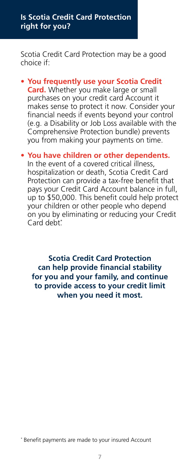#### **Is Scotia Credit Card Protection right for you?**

Scotia Credit Card Protection may be a good choice if:

**• You frequently use your Scotia Credit Card.** Whether you make large or small purchases on your credit card Account it makes sense to protect it now. Consider your financial needs if events beyond your control (e.g. a Disability or Job Loss available with the Comprehensive Protection bundle) prevents you from making your payments on time.

#### **• You have children or other dependents.**

In the event of a covered critical illness, hospitalization or death, Scotia Credit Card Protection can provide a tax-free benefit that pays your Credit Card Account balance in full, up to \$50,000. This benefit could help protect your children or other people who depend on you by eliminating or reducing your Credit Card debt<sup>\*</sup>

**Scotia Credit Card Protection can help provide financial stability for you and your family, and continue to provide access to your credit limit when you need it most.**

\* Benefit payments are made to your insured Account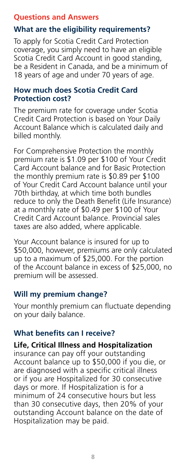#### **Questions and Answers**

## **What are the eligibility requirements?**

To apply for Scotia Credit Card Protection coverage, you simply need to have an eligible Scotia Credit Card Account in good standing, be a Resident in Canada, and be a minimum of 18 years of age and under 70 years of age.

#### **How much does Scotia Credit Card Protection cost?**

The premium rate for coverage under Scotia Credit Card Protection is based on Your Daily Account Balance which is calculated daily and billed monthly.

For Comprehensive Protection the monthly premium rate is \$1.09 per \$100 of Your Credit Card Account balance and for Basic Protection the monthly premium rate is \$0.89 per \$100 of Your Credit Card Account balance until your 70th birthday, at which time both bundles reduce to only the Death Benefit (Life Insurance) at a monthly rate of \$0.49 per \$100 of Your Credit Card Account balance. Provincial sales taxes are also added, where applicable.

Your Account balance is insured for up to \$50,000, however, premiums are only calculated up to a maximum of \$25,000. For the portion of the Account balance in excess of \$25,000, no premium will be assessed.

#### **Will my premium change?**

Your monthly premium can fluctuate depending on your daily balance.

## **What benefits can I receive?**

#### **Life, Critical Illness and Hospitalization**

insurance can pay off your outstanding Account balance up to \$50,000 if you die, or are diagnosed with a specific critical illness or if you are Hospitalized for 30 consecutive days or more. If Hospitalization is for a minimum of 24 consecutive hours but less than 30 consecutive days, then 20% of your outstanding Account balance on the date of Hospitalization may be paid.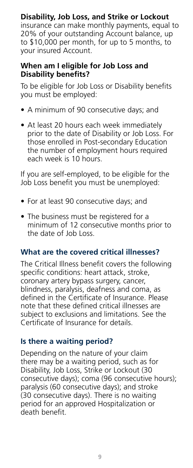## **Disability, Job Loss, and Strike or Lockout**

insurance can make monthly payments, equal to 20% of your outstanding Account balance, up to \$10,000 per month, for up to 5 months, to your insured Account.

#### **When am I eligible for Job Loss and Disability benefits?**

To be eligible for Job Loss or Disability benefits you must be employed:

- A minimum of 90 consecutive days; and
- At least 20 hours each week immediately prior to the date of Disability or Job Loss. For those enrolled in Post-secondary Education the number of employment hours required each week is 10 hours.

If you are self-employed, to be eligible for the Job Loss benefit you must be unemployed:

- For at least 90 consecutive days; and
- The business must be registered for a minimum of 12 consecutive months prior to the date of Job Loss.

## **What are the covered critical illnesses?**

The Critical Illness benefit covers the following specific conditions: heart attack, stroke, coronary artery bypass surgery, cancer, blindness, paralysis, deafness and coma, as defined in the Certificate of Insurance. Please note that these defined critical illnesses are subject to exclusions and limitations. See the Certificate of Insurance for details.

## **Is there a waiting period?**

Depending on the nature of your claim there may be a waiting period, such as for Disability, Job Loss, Strike or Lockout (30 consecutive days); coma (96 consecutive hours); paralysis (60 consecutive days); and stroke (30 consecutive days). There is no waiting period for an approved Hospitalization or death benefit.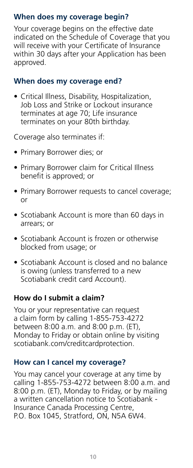## **When does my coverage begin?**

Your coverage begins on the effective date indicated on the Schedule of Coverage that you will receive with your Certificate of Insurance within 30 days after your Application has been approved.

#### **When does my coverage end?**

• Critical Illness, Disability, Hospitalization, Job Loss and Strike or Lockout insurance terminates at age 70; Life insurance terminates on your 80th birthday.

Coverage also terminates if:

- Primary Borrower dies; or
- Primary Borrower claim for Critical Illness benefit is approved; or
- Primary Borrower requests to cancel coverage; or
- Scotiabank Account is more than 60 days in arrears; or
- Scotiabank Account is frozen or otherwise blocked from usage; or
- Scotiabank Account is closed and no balance is owing (unless transferred to a new Scotiabank credit card Account).

## **How do I submit a claim?**

You or your representative can request a claim form by calling 1-855-753-4272 between 8:00 a.m. and 8:00 p.m. (ET), Monday to Friday or obtain online by visiting scotiabank.com/creditcardprotection.

## **How can I cancel my coverage?**

You may cancel your coverage at any time by calling 1-855-753-4272 between 8:00 a.m. and 8:00 p.m. (ET), Monday to Friday, or by mailing a written cancellation notice to Scotiabank - Insurance Canada Processing Centre, P.O. Box 1045, Stratford, ON, N5A 6W4.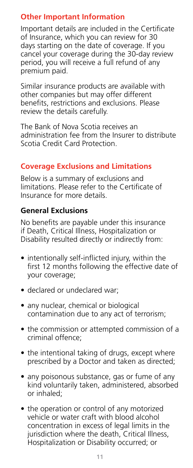## **Other Important Information**

Important details are included in the Certificate of Insurance, which you can review for 30 days starting on the date of coverage. If you cancel your coverage during the 30-day review period, you will receive a full refund of any premium paid.

Similar insurance products are available with other companies but may offer different benefits, restrictions and exclusions. Please review the details carefully.

The Bank of Nova Scotia receives an administration fee from the Insurer to distribute Scotia Credit Card Protection.

## **Coverage Exclusions and Limitations**

Below is a summary of exclusions and limitations. Please refer to the Certificate of Insurance for more details.

## **General Exclusions**

No benefits are payable under this insurance if Death, Critical Illness, Hospitalization or Disability resulted directly or indirectly from:

- intentionally self-inflicted injury, within the first 12 months following the effective date of your coverage;
- declared or undeclared war;
- any nuclear, chemical or biological contamination due to any act of terrorism;
- the commission or attempted commission of a criminal offence;
- the intentional taking of drugs, except where prescribed by a Doctor and taken as directed;
- any poisonous substance, gas or fume of any kind voluntarily taken, administered, absorbed or inhaled;
- the operation or control of any motorized vehicle or water craft with blood alcohol concentration in excess of legal limits in the jurisdiction where the death, Critical Illness, Hospitalization or Disability occurred; or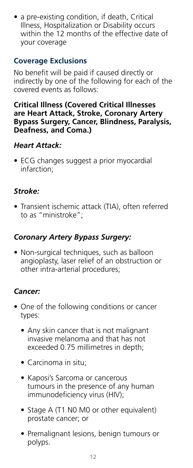• a pre-existing condition, if death, Critical Illness, Hospitalization or Disability occurs within the 12 months of the effective date of your coverage

#### **Coverage Exclusions**

No benefit will be paid if caused directly or indirectly by one of the following for each of the covered events as follows:

#### **Critical Illness (Covered Critical Illnesses are Heart Attack, Stroke, Coronary Artery Bypass Surgery, Cancer, Blindness, Paralysis, Deafness, and Coma.)**

#### *Heart Attack:*

• ECG changes suggest a prior myocardial infarction;

## *Stroke:*

• Transient ischemic attack (TIA), often referred to as "ministroke";

## *Coronary Artery Bypass Surgery:*

• Non-surgical techniques, such as balloon angioplasty, laser relief of an obstruction or other intra-arterial procedures;

## *Cancer:*

- One of the following conditions or cancer types:
	- Any skin cancer that is not malignant invasive melanoma and that has not exceeded 0.75 millimetres in depth;
	- Carcinoma in situ;
	- Kaposi's Sarcoma or cancerous tumours in the presence of any human immunodeficiency virus (HIV);
	- Stage A (T1 N0 M0 or other equivalent) prostate cancer; or
	- Premalignant lesions, benign tumours or polyps.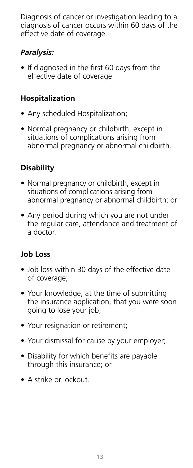Diagnosis of cancer or investigation leading to a diagnosis of cancer occurs within 60 days of the effective date of coverage.

## *Paralysis:*

• If diagnosed in the first 60 days from the effective date of coverage.

## **Hospitalization**

- Any scheduled Hospitalization;
- Normal pregnancy or childbirth, except in situations of complications arising from abnormal pregnancy or abnormal childbirth.

## **Disability**

- Normal pregnancy or childbirth, except in situations of complications arising from abnormal pregnancy or abnormal childbirth; or
- Any period during which you are not under the regular care, attendance and treatment of a doctor.

## **Job Loss**

- Job loss within 30 days of the effective date of coverage;
- Your knowledge, at the time of submitting the insurance application, that you were soon going to lose your job;
- Your resignation or retirement;
- Your dismissal for cause by your employer;
- Disability for which benefits are payable through this insurance; or
- A strike or lockout.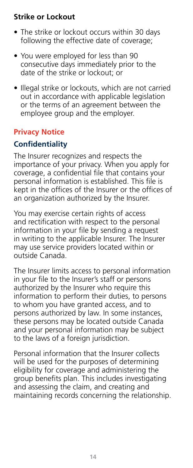## **Strike or Lockout**

- The strike or lockout occurs within 30 days following the effective date of coverage;
- You were employed for less than 90 consecutive days immediately prior to the date of the strike or lockout; or
- Illegal strike or lockouts, which are not carried out in accordance with applicable legislation or the terms of an agreement between the employee group and the employer.

## **Privacy Notice**

## **Confidentiality**

The Insurer recognizes and respects the importance of your privacy. When you apply for coverage, a confidential file that contains your personal information is established. This file is kept in the offices of the Insurer or the offices of an organization authorized by the Insurer.

You may exercise certain rights of access and rectification with respect to the personal information in your file by sending a request in writing to the applicable Insurer. The Insurer may use service providers located within or outside Canada.

The Insurer limits access to personal information in your file to the Insurer's staff or persons authorized by the Insurer who require this information to perform their duties, to persons to whom you have granted access, and to persons authorized by law. In some instances, these persons may be located outside Canada and your personal information may be subject to the laws of a foreign jurisdiction.

Personal information that the Insurer collects will be used for the purposes of determining eligibility for coverage and administering the group benefits plan. This includes investigating and assessing the claim, and creating and maintaining records concerning the relationship.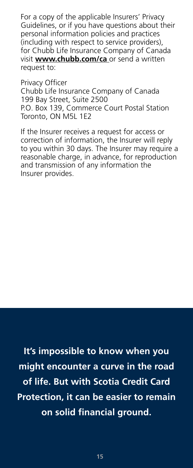For a copy of the applicable Insurers' Privacy Guidelines, or if you have questions about their personal information policies and practices (including with respect to service providers), for Chubb Life Insurance Company of Canada visit **www.chubb.com/ca** or send a written request to:

Privacy Officer Chubb Life Insurance Company of Canada 199 Bay Street, Suite 2500 P.O. Box 139, Commerce Court Postal Station Toronto, ON M5L 1E2

If the Insurer receives a request for access or correction of information, the Insurer will reply to you within 30 days. The Insurer may require a reasonable charge, in advance, for reproduction and transmission of any information the Insurer provides.

**It's impossible to know when you might encounter a curve in the road of life. But with Scotia Credit Card Protection, it can be easier to remain on solid financial ground.**